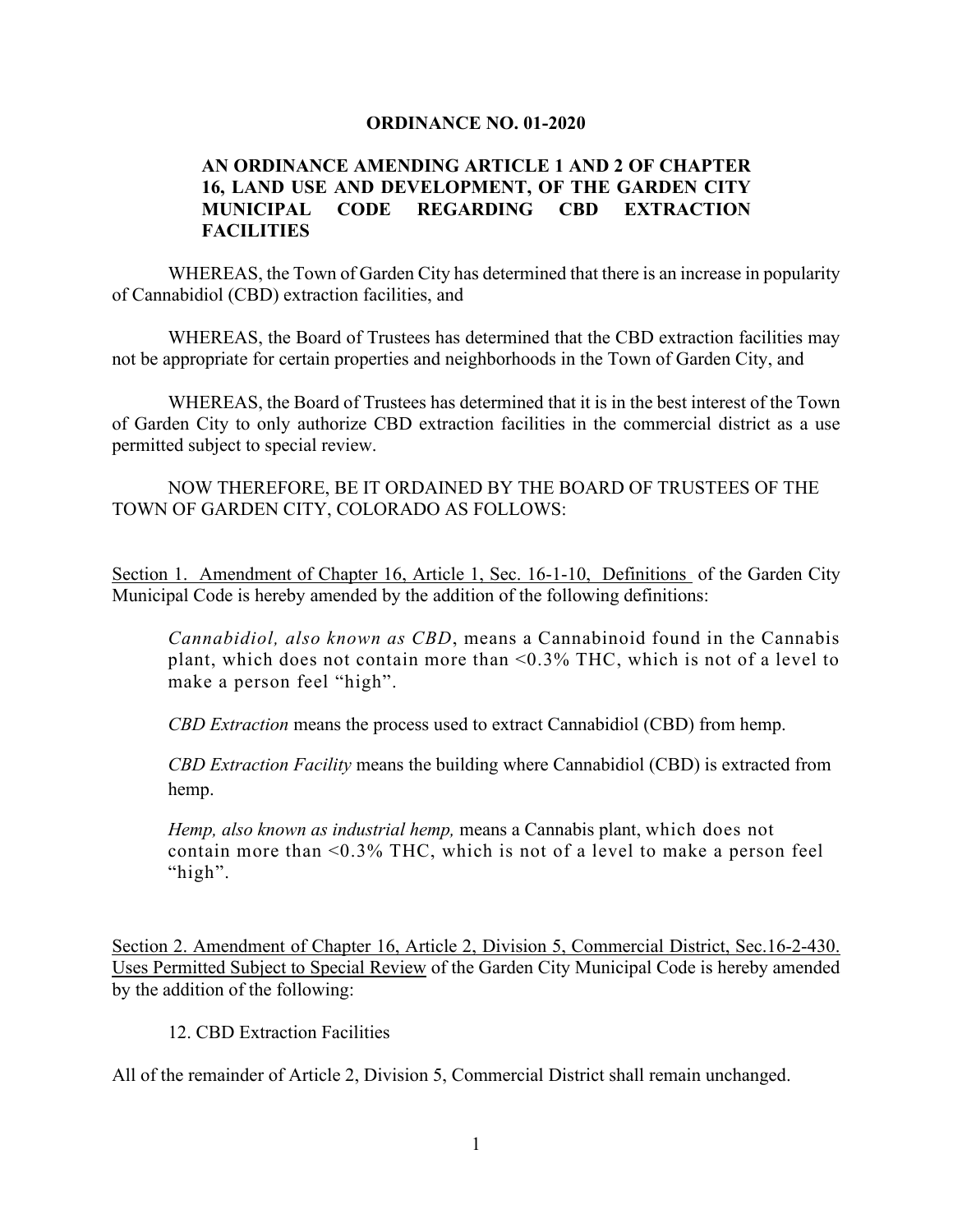## **ORDINANCE NO. 01-2020**

## **AN ORDINANCE AMENDING ARTICLE 1 AND 2 OF CHAPTER 16, LAND USE AND DEVELOPMENT, OF THE GARDEN CITY MUNICIPAL CODE REGARDING CBD EXTRACTION FACILITIES**

WHEREAS, the Town of Garden City has determined that there is an increase in popularity of Cannabidiol (CBD) extraction facilities, and

WHEREAS, the Board of Trustees has determined that the CBD extraction facilities may not be appropriate for certain properties and neighborhoods in the Town of Garden City, and

WHEREAS, the Board of Trustees has determined that it is in the best interest of the Town of Garden City to only authorize CBD extraction facilities in the commercial district as a use permitted subject to special review.

NOW THEREFORE, BE IT ORDAINED BY THE BOARD OF TRUSTEES OF THE TOWN OF GARDEN CITY, COLORADO AS FOLLOWS:

Section 1. Amendment of Chapter 16, Article 1, Sec. 16-1-10, Definitions of the Garden City Municipal Code is hereby amended by the addition of the following definitions:

*Cannabidiol, also known as CBD*, means a Cannabinoid found in the Cannabis plant, which does not contain more than <0.3% THC, which is not of a level to make a person feel "high".

*CBD Extraction* means the process used to extract Cannabidiol (CBD) from hemp.

*CBD Extraction Facility* means the building where Cannabidiol (CBD) is extracted from hemp.

*Hemp, also known as industrial hemp,* means a Cannabis plant, which does not contain more than <0.3% THC, which is not of a level to make a person feel "high".

Section 2. Amendment of Chapter 16, Article 2, Division 5, Commercial District, Sec.16-2-430. Uses Permitted Subject to Special Review of the Garden City Municipal Code is hereby amended by the addition of the following:

12. CBD Extraction Facilities

All of the remainder of Article 2, Division 5, Commercial District shall remain unchanged.